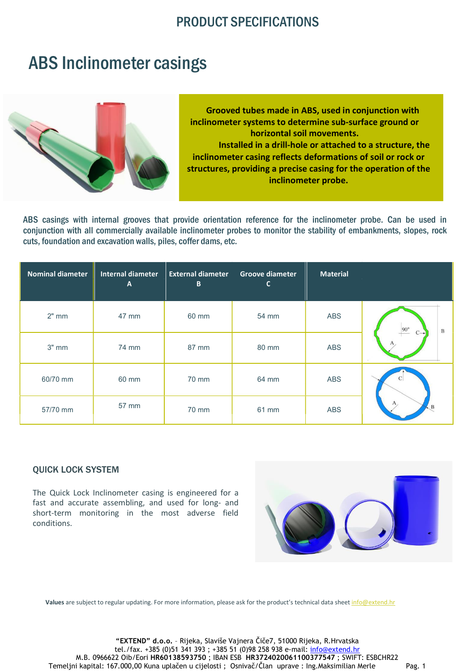### PRODUCT SPECIFICATIONS

## ABS Inclinometer casings



 Grooved tubes made in ABS, used in conjunction with inclinometer systems to determine sub-surface ground or horizontal soil movements. Installed in a drill-hole or attached to a structure, the inclinometer casing reflects deformations of soil or rock or structures, providing a precise casing for the operation of the inclinometer probe.

ABS casings with internal grooves that provide orientation reference for the inclinometer probe. Can be used in conjunction with all commercially available inclinometer probes to monitor the stability of embankments, slopes, rock cuts, foundation and excavation walls, piles, coffer dams, etc.

| <b>Nominal diameter</b> | <b>Internal diameter</b><br>$\mathsf{A}$ | <b>External diameter</b><br>B | <b>Groove diameter</b><br>$\mathsf{C}$ | <b>Material</b> |                        |
|-------------------------|------------------------------------------|-------------------------------|----------------------------------------|-----------------|------------------------|
| $2"$ mm                 | 47 mm                                    | 60 mm                         | 54 mm                                  | ABS             | $90^\circ$<br>$\bf{B}$ |
| $3"$ mm                 | 74 mm                                    | 87 mm                         | 80 mm                                  | <b>ABS</b>      |                        |
| 60/70 mm                | 60 mm                                    | 70 mm                         | 64 mm                                  | ABS             |                        |
| 57/70 mm                | 57 mm                                    | 70 mm                         | 61 mm                                  | ABS             |                        |

#### QUICK LOCK SYSTEM

The Quick Lock Inclinometer casing is engineered for a fast and accurate assembling, and used for long- and short-term monitoring in the most adverse field conditions.



Values are subject to regular updating. For more information, please ask for the product's technical data sheet info@extend.hr